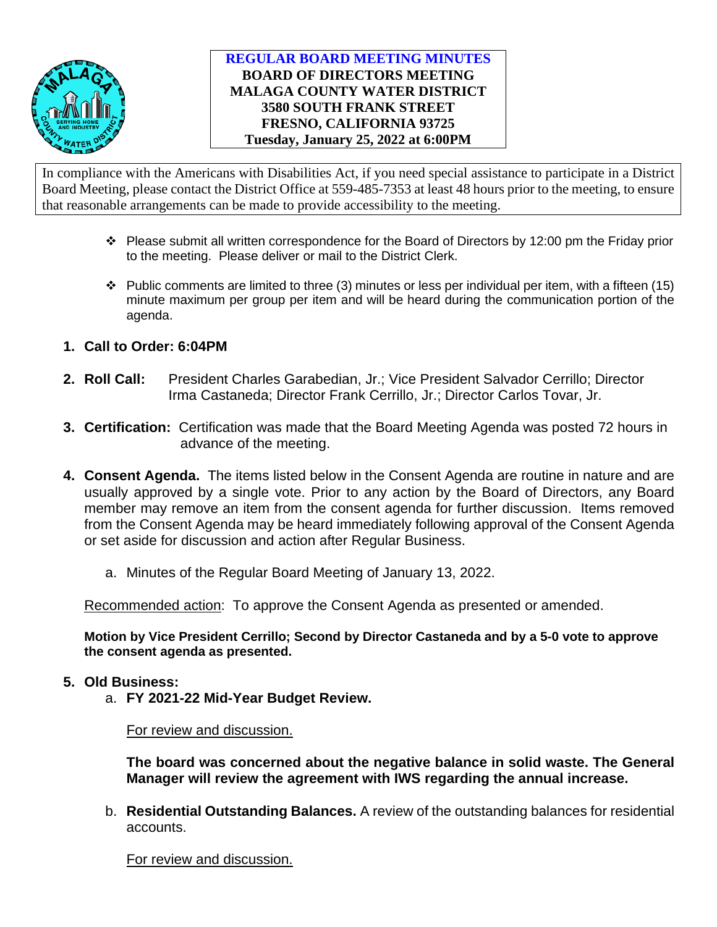

# **REGULAR BOARD MEETING MINUTES BOARD OF DIRECTORS MEETING MALAGA COUNTY WATER DISTRICT 3580 SOUTH FRANK STREET FRESNO, CALIFORNIA 93725 Tuesday, January 25, 2022 at 6:00PM**

In compliance with the Americans with Disabilities Act, if you need special assistance to participate in a District Board Meeting, please contact the District Office at 559-485-7353 at least 48 hours prior to the meeting, to ensure that reasonable arrangements can be made to provide accessibility to the meeting.

- $\cdot \cdot$  Please submit all written correspondence for the Board of Directors by 12:00 pm the Friday prior to the meeting. Please deliver or mail to the District Clerk.
- $\cdot \cdot$  Public comments are limited to three (3) minutes or less per individual per item, with a fifteen (15) minute maximum per group per item and will be heard during the communication portion of the agenda.
- **1. Call to Order: 6:04PM**
- **2. Roll Call:** President Charles Garabedian, Jr.; Vice President Salvador Cerrillo; Director Irma Castaneda; Director Frank Cerrillo, Jr.; Director Carlos Tovar, Jr.
- **3. Certification:** Certification was made that the Board Meeting Agenda was posted 72 hours in advance of the meeting.
- **4. Consent Agenda.** The items listed below in the Consent Agenda are routine in nature and are usually approved by a single vote. Prior to any action by the Board of Directors, any Board member may remove an item from the consent agenda for further discussion. Items removed from the Consent Agenda may be heard immediately following approval of the Consent Agenda or set aside for discussion and action after Regular Business.
	- a. Minutes of the Regular Board Meeting of January 13, 2022.

Recommended action: To approve the Consent Agenda as presented or amended.

**Motion by Vice President Cerrillo; Second by Director Castaneda and by a 5-0 vote to approve the consent agenda as presented.** 

## **5. Old Business:**

a. **FY 2021-22 Mid-Year Budget Review.** 

For review and discussion.

**The board was concerned about the negative balance in solid waste. The General Manager will review the agreement with IWS regarding the annual increase.** 

b. **Residential Outstanding Balances.** A review of the outstanding balances for residential accounts.

For review and discussion.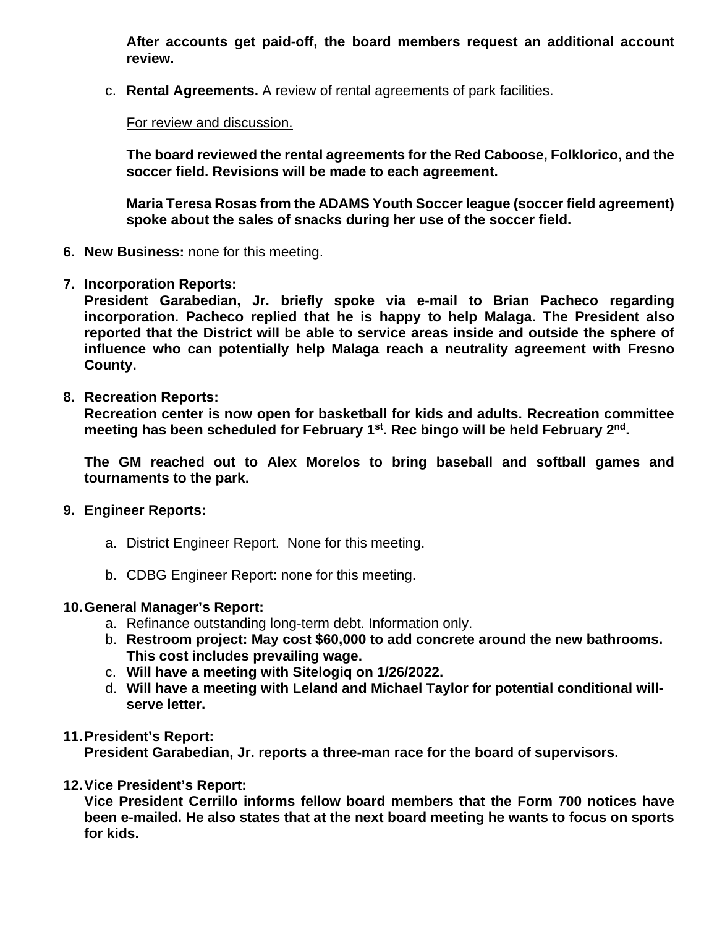**After accounts get paid-off, the board members request an additional account review.** 

c. **Rental Agreements.** A review of rental agreements of park facilities.

# For review and discussion.

**The board reviewed the rental agreements for the Red Caboose, Folklorico, and the soccer field. Revisions will be made to each agreement.** 

**Maria Teresa Rosas from the ADAMS Youth Soccer league (soccer field agreement) spoke about the sales of snacks during her use of the soccer field.**

- **6. New Business:** none for this meeting.
- **7. Incorporation Reports:**

**President Garabedian, Jr. briefly spoke via e-mail to Brian Pacheco regarding incorporation. Pacheco replied that he is happy to help Malaga. The President also reported that the District will be able to service areas inside and outside the sphere of influence who can potentially help Malaga reach a neutrality agreement with Fresno County.** 

**8. Recreation Reports:**

**Recreation center is now open for basketball for kids and adults. Recreation committee meeting has been scheduled for February 1st. Rec bingo will be held February 2nd.** 

**The GM reached out to Alex Morelos to bring baseball and softball games and tournaments to the park.**

- **9. Engineer Reports:**
	- a. District Engineer Report. None for this meeting.
	- b. CDBG Engineer Report: none for this meeting.

# **10.General Manager's Report:**

- a. Refinance outstanding long-term debt. Information only.
- b. **Restroom project: May cost \$60,000 to add concrete around the new bathrooms. This cost includes prevailing wage.**
- c. **Will have a meeting with Sitelogiq on 1/26/2022.**
- d. **Will have a meeting with Leland and Michael Taylor for potential conditional willserve letter.**

# **11.President's Report:**

**President Garabedian, Jr. reports a three-man race for the board of supervisors.** 

**12.Vice President's Report:**

**Vice President Cerrillo informs fellow board members that the Form 700 notices have been e-mailed. He also states that at the next board meeting he wants to focus on sports for kids.**